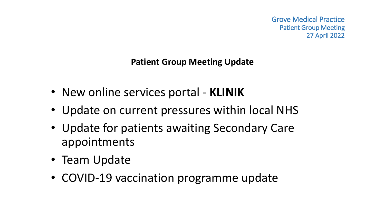Grove Medical Practice Patient Group Meeting 27 April 2022

**Patient Group Meeting Update**

- New online services portal **KLINIK**
- Update on current pressures within local NHS
- Update for patients awaiting Secondary Care appointments
- Team Update
- COVID-19 vaccination programme update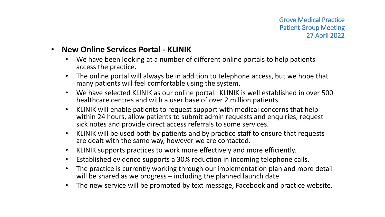## • **New Online Services Portal - KLINIK**

- We have been looking at a number of different online portals to help patients access the practice.
- The online portal will always be in addition to telephone access, but we hope that many patients will feel comfortable using the system.
- We have selected KLINIK as our online portal. KLINIK is well established in over 500 healthcare centres and with a user base of over 2 million patients.
- KLINIK will enable patients to request support with medical concerns that help within 24 hours, allow patients to submit admin requests and enquiries, request sick notes and provide direct access referrals to some services.
- KLINIK will be used both by patients and by practice staff to ensure that requests are dealt with the same way, however we are contacted.
- KLINIK supports practices to work more effectively and more efficiently.
- Established evidence supports a 30% reduction in incoming telephone calls.
- The practice is currently working through our implementation plan and more detail will be shared as we progress – including the planned launch date.
- The new service will be promoted by text message, Facebook and practice website.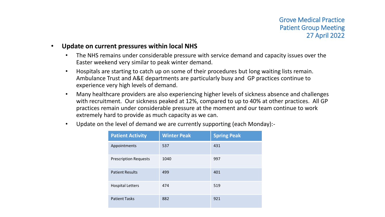## • **Update on current pressures within local NHS**

- The NHS remains under considerable pressure with service demand and capacity issues over the Easter weekend very similar to peak winter demand.
- Hospitals are starting to catch up on some of their procedures but long waiting lists remain. Ambulance Trust and A&E departments are particularly busy and GP practices continue to experience very high levels of demand.
- Many healthcare providers are also experiencing higher levels of sickness absence and challenges with recruitment. Our sickness peaked at 12%, compared to up to 40% at other practices. All GP practices remain under considerable pressure at the moment and our team continue to work extremely hard to provide as much capacity as we can.
- Update on the level of demand we are currently supporting (each Monday):-

| <b>Patient Activity</b>      | <b>Winter Peak</b> | <b>Spring Peak</b> |
|------------------------------|--------------------|--------------------|
| Appointments                 | 537                | 431                |
| <b>Prescription Requests</b> | 1040               | 997                |
| <b>Patient Results</b>       | 499                | 401                |
| <b>Hospital Letters</b>      | 474                | 519                |
| <b>Patient Tasks</b>         | 882                | 921                |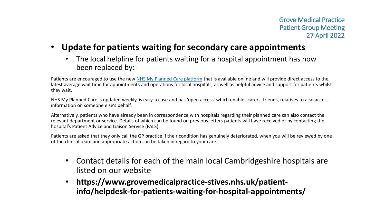- **Update for patients waiting for secondary care appointments**
	- The local helpline for patients waiting for a hospital appointment has now been replaced by:-

Patients are encouraged to use the new [NHS My Planned Care platform](https://www.myplannedcare.nhs.uk/) that is available online and will provide direct access to the latest average wait time for appointments and operations for local hospitals, as well as helpful advice and support for patients whilst they wait.

NHS My Planned Care is updated weekly, is easy-to-use and has 'open access' which enables carers, friends, relatives to also access information on someone else's behalf.

Alternatively, patients who have already been in correspondence with hospitals regarding their planned care can also contact the relevant department or service. Details of which can be found on previous letters patients will have received or by contacting the hospital's Patient Advice and Liaison Service (PALS).

Patients are asked that they only call the GP practice if their condition has genuinely deteriorated, when you will be reviewed by one of the clinical team and appropriate action can be taken in regard to your care.

- Contact details for each of the main local Cambridgeshire hospitals are listed on our website
- **https://www.grovemedicalpractice-stives.nhs.uk/patientinfo/helpdesk-for-patients-waiting-for-hospital-appointments/**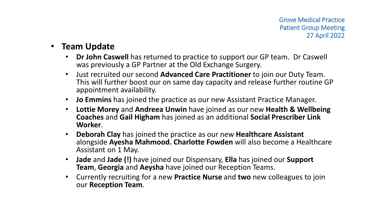## • **Team Update**

- **Dr John Caswell** has returned to practice to support our GP team. Dr Caswell was previously a GP Partner at the Old Exchange Surgery.
- Just recruited our second **Advanced Care Practitioner** to join our Duty Team. This will further boost our on same day capacity and release further routine GP appointment availability.
- **Jo Emmins** has joined the practice as our new Assistant Practice Manager.
- **Lottie Morey** and **Andreea Unwin** have joined as our new **Health & Wellbeing Coaches** and **Gail Higham** has joined as an additional **Social Prescriber Link Worker**.
- **Deborah Clay** has joined the practice as our new **Healthcare Assistant**  alongside **Ayesha Mahmood. Charlotte Fowden** will also become a Healthcare Assistant on 1 May.
- **Jade** and **Jade (!)** have joined our Dispensary, **Ella** has joined our **Support Team**, **Georgia** and **Aeysha** have joined our Reception Teams.
- Currently recruiting for a new **Practice Nurse** and **two** new colleagues to join our **Reception Team**.